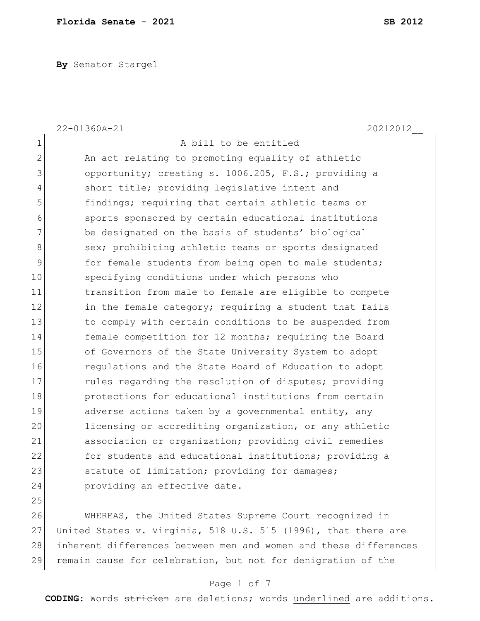**By** Senator Stargel

|                | 22-01360A-21<br>20212012                               |
|----------------|--------------------------------------------------------|
| $\mathbf 1$    | A bill to be entitled                                  |
| $\mathbf 2$    | An act relating to promoting equality of athletic      |
| 3              | opportunity; creating s. 1006.205, F.S.; providing a   |
| $\overline{4}$ | short title; providing legislative intent and          |
| 5              | findings; requiring that certain athletic teams or     |
| 6              | sports sponsored by certain educational institutions   |
| $\overline{7}$ | be designated on the basis of students' biological     |
| 8              | sex; prohibiting athletic teams or sports designated   |
| $\mathcal{G}$  | for female students from being open to male students;  |
| 10             | specifying conditions under which persons who          |
| 11             | transition from male to female are eligible to compete |
| 12             | in the female category; requiring a student that fails |
| 13             | to comply with certain conditions to be suspended from |
| 14             | female competition for 12 months; requiring the Board  |
| 15             | of Governors of the State University System to adopt   |
| 16             | regulations and the State Board of Education to adopt  |
| 17             | rules regarding the resolution of disputes; providing  |
| 18             | protections for educational institutions from certain  |
| 19             | adverse actions taken by a governmental entity, any    |
| 20             | licensing or accrediting organization, or any athletic |
| 21             | association or organization; providing civil remedies  |
| 22             | for students and educational institutions; providing a |
| 23             | statute of limitation; providing for damages;          |
| 24             | providing an effective date.                           |
| 25             |                                                        |
| 26             | WHEREAS, the United States Supreme Court recognized in |

27 United States v. Virginia, 518 U.S. 515 (1996), that there are 28 inherent differences between men and women and these differences 29 remain cause for celebration, but not for denigration of the

#### Page 1 of 7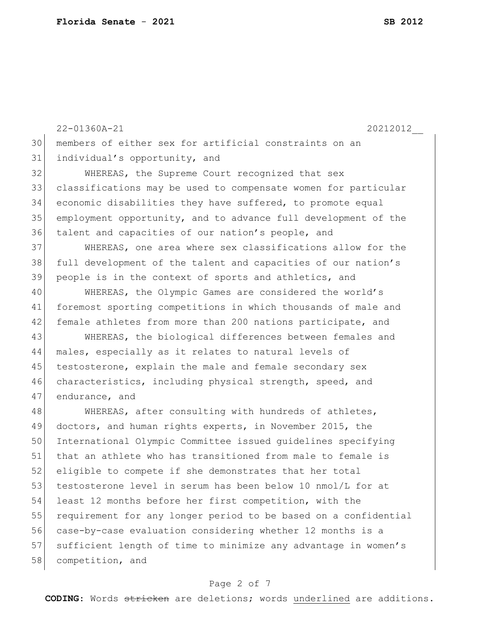22-01360A-21 20212012\_\_ members of either sex for artificial constraints on an individual's opportunity, and WHEREAS, the Supreme Court recognized that sex classifications may be used to compensate women for particular economic disabilities they have suffered, to promote equal employment opportunity, and to advance full development of the talent and capacities of our nation's people, and WHEREAS, one area where sex classifications allow for the full development of the talent and capacities of our nation's people is in the context of sports and athletics, and WHEREAS, the Olympic Games are considered the world's foremost sporting competitions in which thousands of male and 42 female athletes from more than 200 nations participate, and WHEREAS, the biological differences between females and males, especially as it relates to natural levels of 45 testosterone, explain the male and female secondary sex 46 characteristics, including physical strength, speed, and endurance, and 48 WHEREAS, after consulting with hundreds of athletes, doctors, and human rights experts, in November 2015, the 50 International Olympic Committee issued quidelines specifying that an athlete who has transitioned from male to female is eligible to compete if she demonstrates that her total 53 testosterone level in serum has been below 10 nmol/L for at least 12 months before her first competition, with the 55 requirement for any longer period to be based on a confidential case-by-case evaluation considering whether 12 months is a 57 sufficient length of time to minimize any advantage in women's 58 competition, and

#### Page 2 of 7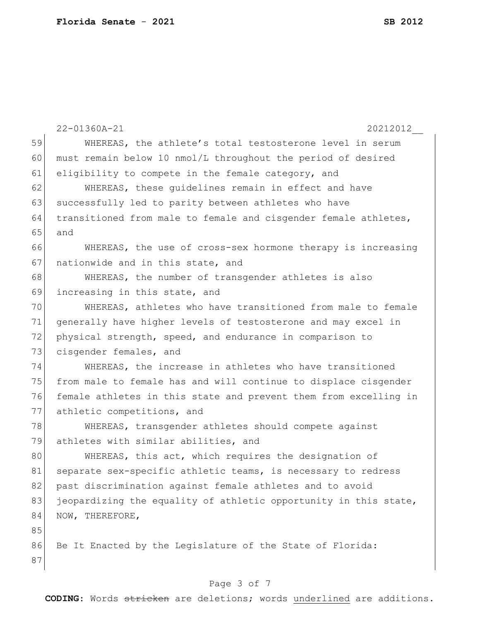|    | 22-01360A-21<br>20212012                                         |
|----|------------------------------------------------------------------|
| 59 | WHEREAS, the athlete's total testosterone level in serum         |
| 60 | must remain below 10 nmol/L throughout the period of desired     |
| 61 | eligibility to compete in the female category, and               |
| 62 | WHEREAS, these quidelines remain in effect and have              |
| 63 | successfully led to parity between athletes who have             |
| 64 | transitioned from male to female and cisgender female athletes,  |
| 65 | and                                                              |
| 66 | WHEREAS, the use of cross-sex hormone therapy is increasing      |
| 67 | nationwide and in this state, and                                |
| 68 | WHEREAS, the number of transgender athletes is also              |
| 69 | increasing in this state, and                                    |
| 70 | WHEREAS, athletes who have transitioned from male to female      |
| 71 | generally have higher levels of testosterone and may excel in    |
| 72 | physical strength, speed, and endurance in comparison to         |
| 73 | cisgender females, and                                           |
| 74 | WHEREAS, the increase in athletes who have transitioned          |
| 75 | from male to female has and will continue to displace cisgender  |
| 76 | female athletes in this state and prevent them from excelling in |
| 77 | athletic competitions, and                                       |
| 78 | WHEREAS, transgender athletes should compete against             |
| 79 | athletes with similar abilities, and                             |
| 80 | WHEREAS, this act, which requires the designation of             |
| 81 | separate sex-specific athletic teams, is necessary to redress    |
| 82 | past discrimination against female athletes and to avoid         |
| 83 | jeopardizing the equality of athletic opportunity in this state, |
| 84 | NOW, THEREFORE,                                                  |
| 85 |                                                                  |
| 86 | Be It Enacted by the Legislature of the State of Florida:        |
| 87 |                                                                  |
|    |                                                                  |

# Page 3 of 7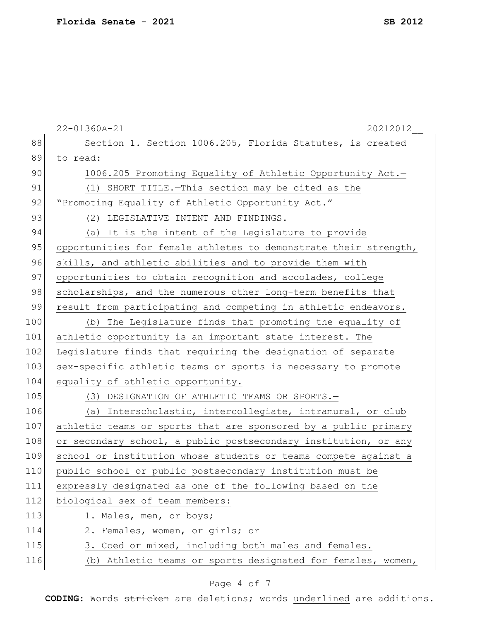|     | 22-01360A-21<br>20212012                                         |
|-----|------------------------------------------------------------------|
| 88  | Section 1. Section 1006.205, Florida Statutes, is created        |
| 89  | to read:                                                         |
| 90  | 1006.205 Promoting Equality of Athletic Opportunity Act.-        |
| 91  | (1) SHORT TITLE. - This section may be cited as the              |
| 92  | "Promoting Equality of Athletic Opportunity Act."                |
| 93  | (2) LEGISLATIVE INTENT AND FINDINGS.-                            |
| 94  | (a) It is the intent of the Legislature to provide               |
| 95  | opportunities for female athletes to demonstrate their strength, |
| 96  | skills, and athletic abilities and to provide them with          |
| 97  | opportunities to obtain recognition and accolades, college       |
| 98  | scholarships, and the numerous other long-term benefits that     |
| 99  | result from participating and competing in athletic endeavors.   |
| 100 | (b) The Legislature finds that promoting the equality of         |
| 101 | athletic opportunity is an important state interest. The         |
| 102 | Legislature finds that requiring the designation of separate     |
| 103 | sex-specific athletic teams or sports is necessary to promote    |
| 104 | equality of athletic opportunity.                                |
| 105 | (3) DESIGNATION OF ATHLETIC TEAMS OR SPORTS.-                    |
| 106 | (a) Interscholastic, intercollegiate, intramural, or club        |
| 107 | athletic teams or sports that are sponsored by a public primary  |
| 108 | or secondary school, a public postsecondary institution, or any  |
| 109 | school or institution whose students or teams compete against a  |
| 110 | public school or public postsecondary institution must be        |
| 111 | expressly designated as one of the following based on the        |
| 112 | biological sex of team members:                                  |
| 113 | 1. Males, men, or boys;                                          |
| 114 | 2. Females, women, or girls; or                                  |
| 115 | 3. Coed or mixed, including both males and females.              |
| 116 | (b) Athletic teams or sports designated for females, women,      |

# Page 4 of 7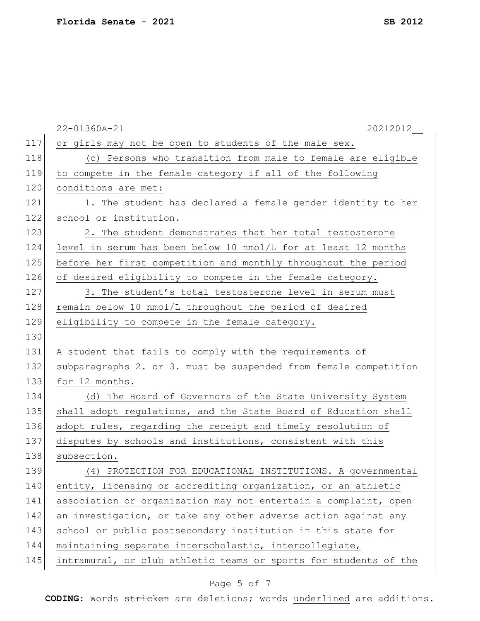| 117<br>or girls may not be open to students of the male sex.<br>118<br>(c) Persons who transition from male to female are eligible<br>119<br>to compete in the female category if all of the following<br>120<br>conditions are met:<br>121<br>1. The student has declared a female gender identity to her<br>122<br>school or institution.<br>123<br>2. The student demonstrates that her total testosterone<br>124<br>level in serum has been below 10 nmol/L for at least 12 months |  |
|----------------------------------------------------------------------------------------------------------------------------------------------------------------------------------------------------------------------------------------------------------------------------------------------------------------------------------------------------------------------------------------------------------------------------------------------------------------------------------------|--|
|                                                                                                                                                                                                                                                                                                                                                                                                                                                                                        |  |
|                                                                                                                                                                                                                                                                                                                                                                                                                                                                                        |  |
|                                                                                                                                                                                                                                                                                                                                                                                                                                                                                        |  |
|                                                                                                                                                                                                                                                                                                                                                                                                                                                                                        |  |
|                                                                                                                                                                                                                                                                                                                                                                                                                                                                                        |  |
|                                                                                                                                                                                                                                                                                                                                                                                                                                                                                        |  |
|                                                                                                                                                                                                                                                                                                                                                                                                                                                                                        |  |
|                                                                                                                                                                                                                                                                                                                                                                                                                                                                                        |  |
| 125<br>before her first competition and monthly throughout the period                                                                                                                                                                                                                                                                                                                                                                                                                  |  |
| 126<br>of desired eligibility to compete in the female category.                                                                                                                                                                                                                                                                                                                                                                                                                       |  |
| 127<br>3. The student's total testosterone level in serum must                                                                                                                                                                                                                                                                                                                                                                                                                         |  |
| 128<br>remain below 10 nmol/L throughout the period of desired                                                                                                                                                                                                                                                                                                                                                                                                                         |  |
| 129<br>eligibility to compete in the female category.                                                                                                                                                                                                                                                                                                                                                                                                                                  |  |
| 130                                                                                                                                                                                                                                                                                                                                                                                                                                                                                    |  |
| 131<br>A student that fails to comply with the requirements of                                                                                                                                                                                                                                                                                                                                                                                                                         |  |
| 132<br>subparagraphs 2. or 3. must be suspended from female competition                                                                                                                                                                                                                                                                                                                                                                                                                |  |
| 133<br>for 12 months.                                                                                                                                                                                                                                                                                                                                                                                                                                                                  |  |
| 134<br>(d) The Board of Governors of the State University System                                                                                                                                                                                                                                                                                                                                                                                                                       |  |
| 135<br>shall adopt regulations, and the State Board of Education shall                                                                                                                                                                                                                                                                                                                                                                                                                 |  |
| 136<br>adopt rules, regarding the receipt and timely resolution of                                                                                                                                                                                                                                                                                                                                                                                                                     |  |
| 137<br>disputes by schools and institutions, consistent with this                                                                                                                                                                                                                                                                                                                                                                                                                      |  |
| 138<br>subsection.                                                                                                                                                                                                                                                                                                                                                                                                                                                                     |  |
| 139<br>(4) PROTECTION FOR EDUCATIONAL INSTITUTIONS. A governmental                                                                                                                                                                                                                                                                                                                                                                                                                     |  |
| entity, licensing or accrediting organization, or an athletic<br>140                                                                                                                                                                                                                                                                                                                                                                                                                   |  |
| association or organization may not entertain a complaint, open<br>141                                                                                                                                                                                                                                                                                                                                                                                                                 |  |
| 142<br>an investigation, or take any other adverse action against any                                                                                                                                                                                                                                                                                                                                                                                                                  |  |
| 143<br>school or public postsecondary institution in this state for                                                                                                                                                                                                                                                                                                                                                                                                                    |  |
| 144<br>maintaining separate interscholastic, intercollegiate,                                                                                                                                                                                                                                                                                                                                                                                                                          |  |
| 145<br>intramural, or club athletic teams or sports for students of the                                                                                                                                                                                                                                                                                                                                                                                                                |  |

# Page 5 of 7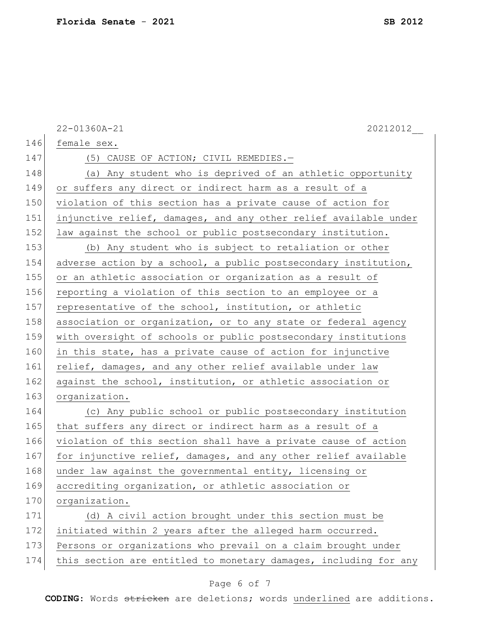|     | 20212012<br>22-01360A-21                                         |
|-----|------------------------------------------------------------------|
| 146 | female sex.                                                      |
| 147 | (5) CAUSE OF ACTION; CIVIL REMEDIES.-                            |
| 148 | (a) Any student who is deprived of an athletic opportunity       |
| 149 | or suffers any direct or indirect harm as a result of a          |
| 150 | violation of this section has a private cause of action for      |
| 151 | injunctive relief, damages, and any other relief available under |
| 152 | law against the school or public postsecondary institution.      |
| 153 | (b) Any student who is subject to retaliation or other           |
| 154 | adverse action by a school, a public postsecondary institution,  |
| 155 | or an athletic association or organization as a result of        |
| 156 | reporting a violation of this section to an employee or a        |
| 157 | representative of the school, institution, or athletic           |
| 158 | association or organization, or to any state or federal agency   |
| 159 | with oversight of schools or public postsecondary institutions   |
| 160 | in this state, has a private cause of action for injunctive      |
| 161 | relief, damages, and any other relief available under law        |
| 162 | against the school, institution, or athletic association or      |
| 163 | organization.                                                    |
| 164 | (c) Any public school or public postsecondary institution        |
| 165 | that suffers any direct or indirect harm as a result of a        |
| 166 | violation of this section shall have a private cause of action   |
| 167 | for injunctive relief, damages, and any other relief available   |
| 168 | under law against the governmental entity, licensing or          |
| 169 | accrediting organization, or athletic association or             |
| 170 | organization.                                                    |
| 171 | (d) A civil action brought under this section must be            |
| 172 | initiated within 2 years after the alleged harm occurred.        |
| 173 | Persons or organizations who prevail on a claim brought under    |
| 174 | this section are entitled to monetary damages, including for any |
|     | Page 6 of 7                                                      |